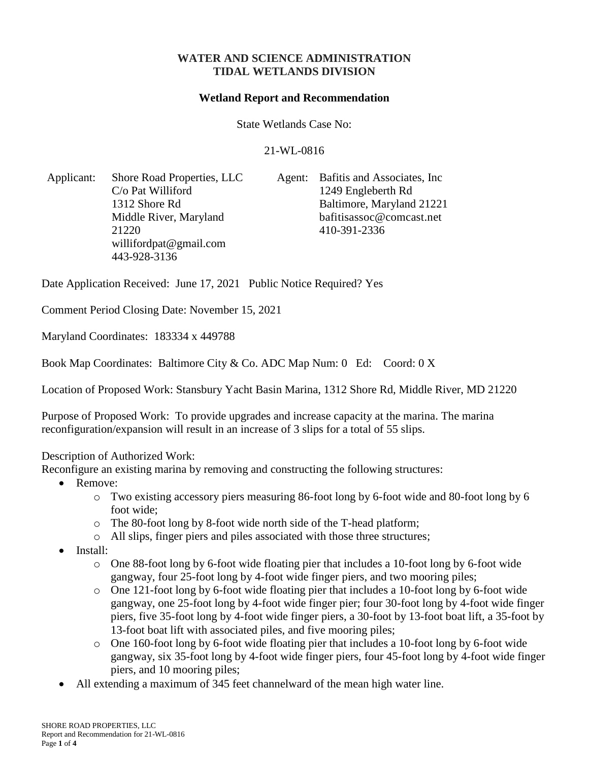## **WATER AND SCIENCE ADMINISTRATION TIDAL WETLANDS DIVISION**

#### **Wetland Report and Recommendation**

State Wetlands Case No:

#### 21-WL-0816

Applicant: Shore Road Properties, LLC C/o Pat Williford 1312 Shore Rd Middle River, Maryland 21220 [willifordpat@gmail.com](mailto:willifordpat@gmail.com) 443-928-3136

Agent: Bafitis and Associates, Inc 1249 Engleberth Rd Baltimore, Maryland 21221 bafitisassoc@comcast.net 410-391-2336

Date Application Received: June 17, 2021 Public Notice Required? Yes

Comment Period Closing Date: November 15, 2021

Maryland Coordinates: 183334 x 449788

Book Map Coordinates: Baltimore City & Co. ADC Map Num: 0 Ed: Coord: 0 X

Location of Proposed Work: Stansbury Yacht Basin Marina, 1312 Shore Rd, Middle River, MD 21220

Purpose of Proposed Work: To provide upgrades and increase capacity at the marina. The marina reconfiguration/expansion will result in an increase of 3 slips for a total of 55 slips.

### Description of Authorized Work:

Reconfigure an existing marina by removing and constructing the following structures:

- Remove:
	- o Two existing accessory piers measuring 86-foot long by 6-foot wide and 80-foot long by 6 foot wide;
	- o The 80-foot long by 8-foot wide north side of the T-head platform;
	- o All slips, finger piers and piles associated with those three structures;
- Install:
	- $\circ$  One 88-foot long by 6-foot wide floating pier that includes a 10-foot long by 6-foot wide gangway, four 25-foot long by 4-foot wide finger piers, and two mooring piles;
	- o One 121-foot long by 6-foot wide floating pier that includes a 10-foot long by 6-foot wide gangway, one 25-foot long by 4-foot wide finger pier; four 30-foot long by 4-foot wide finger piers, five 35-foot long by 4-foot wide finger piers, a 30-foot by 13-foot boat lift, a 35-foot by 13-foot boat lift with associated piles, and five mooring piles;
	- o One 160-foot long by 6-foot wide floating pier that includes a 10-foot long by 6-foot wide gangway, six 35-foot long by 4-foot wide finger piers, four 45-foot long by 4-foot wide finger piers, and 10 mooring piles;
- All extending a maximum of 345 feet channelward of the mean high water line.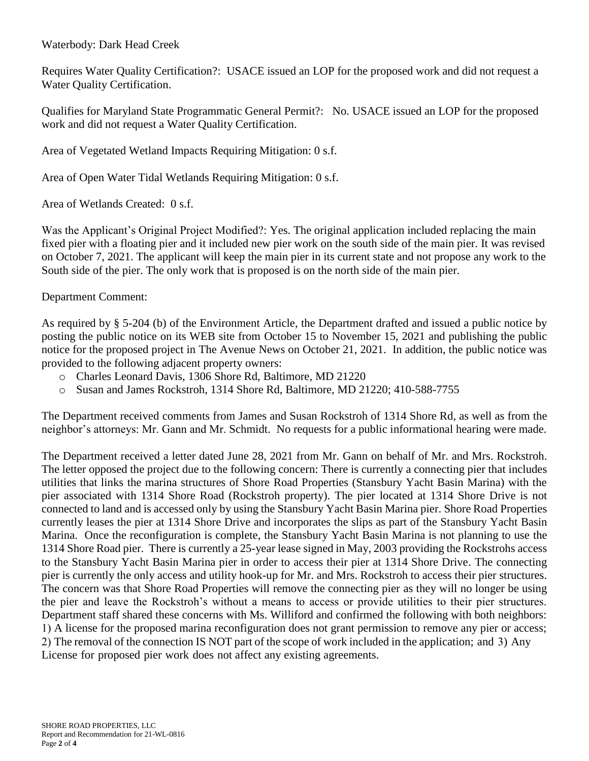Waterbody: Dark Head Creek

Requires Water Quality Certification?: USACE issued an LOP for the proposed work and did not request a Water Quality Certification.

Qualifies for Maryland State Programmatic General Permit?: No. USACE issued an LOP for the proposed work and did not request a Water Quality Certification.

Area of Vegetated Wetland Impacts Requiring Mitigation: 0 s.f.

Area of Open Water Tidal Wetlands Requiring Mitigation: 0 s.f.

Area of Wetlands Created: 0 s.f.

Was the Applicant's Original Project Modified?: Yes. The original application included replacing the main fixed pier with a floating pier and it included new pier work on the south side of the main pier. It was revised on October 7, 2021. The applicant will keep the main pier in its current state and not propose any work to the South side of the pier. The only work that is proposed is on the north side of the main pier.

## Department Comment:

As required by § 5-204 (b) of the Environment Article, the Department drafted and issued a public notice by posting the public notice on its WEB site from October 15 to November 15, 2021 and publishing the public notice for the proposed project in The Avenue News on October 21, 2021. In addition, the public notice was provided to the following adjacent property owners:

- o Charles Leonard Davis, 1306 Shore Rd, Baltimore, MD 21220
- o Susan and James Rockstroh, 1314 Shore Rd, Baltimore, MD 21220; 410-588-7755

The Department received comments from James and Susan Rockstroh of 1314 Shore Rd, as well as from the neighbor's attorneys: Mr. Gann and Mr. Schmidt. No requests for a public informational hearing were made.

The Department received a letter dated June 28, 2021 from Mr. Gann on behalf of Mr. and Mrs. Rockstroh. The letter opposed the project due to the following concern: There is currently a connecting pier that includes utilities that links the marina structures of Shore Road Properties (Stansbury Yacht Basin Marina) with the pier associated with 1314 Shore Road (Rockstroh property). The pier located at 1314 Shore Drive is not connected to land and is accessed only by using the Stansbury Yacht Basin Marina pier. Shore Road Properties currently leases the pier at 1314 Shore Drive and incorporates the slips as part of the Stansbury Yacht Basin Marina. Once the reconfiguration is complete, the Stansbury Yacht Basin Marina is not planning to use the 1314 Shore Road pier. There is currently a 25-year lease signed in May, 2003 providing the Rockstrohs access to the Stansbury Yacht Basin Marina pier in order to access their pier at 1314 Shore Drive. The connecting pier is currently the only access and utility hook-up for Mr. and Mrs. Rockstroh to access their pier structures. The concern was that Shore Road Properties will remove the connecting pier as they will no longer be using the pier and leave the Rockstroh's without a means to access or provide utilities to their pier structures. Department staff shared these concerns with Ms. Williford and confirmed the following with both neighbors: 1) A license for the proposed marina reconfiguration does not grant permission to remove any pier or access; 2) The removal of the connection IS NOT part of the scope of work included in the application; and 3) Any License for proposed pier work does not affect any existing agreements.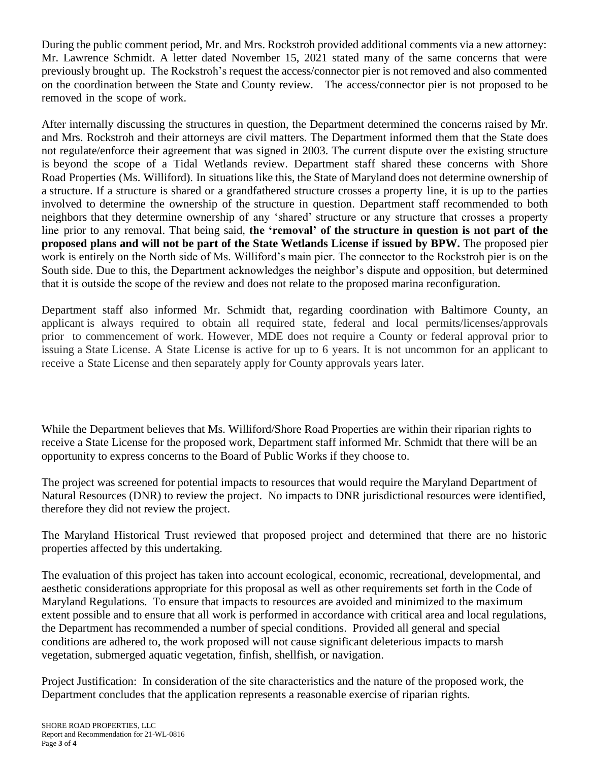During the public comment period, Mr. and Mrs. Rockstroh provided additional comments via a new attorney: Mr. Lawrence Schmidt. A letter dated November 15, 2021 stated many of the same concerns that were previously brought up. The Rockstroh's request the access/connector pier is not removed and also commented on the coordination between the State and County review. The access/connector pier is not proposed to be removed in the scope of work.

After internally discussing the structures in question, the Department determined the concerns raised by Mr. and Mrs. Rockstroh and their attorneys are civil matters. The Department informed them that the State does not regulate/enforce their agreement that was signed in 2003. The current dispute over the existing structure is beyond the scope of a Tidal Wetlands review. Department staff shared these concerns with Shore Road Properties (Ms. Williford). In situations like this, the State of Maryland does not determine ownership of a structure. If a structure is shared or a grandfathered structure crosses a property line, it is up to the parties involved to determine the ownership of the structure in question. Department staff recommended to both neighbors that they determine ownership of any 'shared' structure or any structure that crosses a property line prior to any removal. That being said, **the 'removal' of the structure in question is not part of the proposed plans and will not be part of the State Wetlands License if issued by BPW.** The proposed pier work is entirely on the North side of Ms. Williford's main pier. The connector to the Rockstroh pier is on the South side. Due to this, the Department acknowledges the neighbor's dispute and opposition, but determined that it is outside the scope of the review and does not relate to the proposed marina reconfiguration.

Department staff also informed Mr. Schmidt that, regarding coordination with Baltimore County, an applicant is always required to obtain all required state, federal and local permits/licenses/approvals prior to commencement of work. However, MDE does not require a County or federal approval prior to issuing a State License. A State License is active for up to 6 years. It is not uncommon for an applicant to receive a State License and then separately apply for County approvals years later.

While the Department believes that Ms. Williford/Shore Road Properties are within their riparian rights to receive a State License for the proposed work, Department staff informed Mr. Schmidt that there will be an opportunity to express concerns to the Board of Public Works if they choose to.

The project was screened for potential impacts to resources that would require the Maryland Department of Natural Resources (DNR) to review the project. No impacts to DNR jurisdictional resources were identified, therefore they did not review the project.

The Maryland Historical Trust reviewed that proposed project and determined that there are no historic properties affected by this undertaking.

The evaluation of this project has taken into account ecological, economic, recreational, developmental, and aesthetic considerations appropriate for this proposal as well as other requirements set forth in the Code of Maryland Regulations. To ensure that impacts to resources are avoided and minimized to the maximum extent possible and to ensure that all work is performed in accordance with critical area and local regulations, the Department has recommended a number of special conditions. Provided all general and special conditions are adhered to, the work proposed will not cause significant deleterious impacts to marsh vegetation, submerged aquatic vegetation, finfish, shellfish, or navigation.

Project Justification: In consideration of the site characteristics and the nature of the proposed work, the Department concludes that the application represents a reasonable exercise of riparian rights.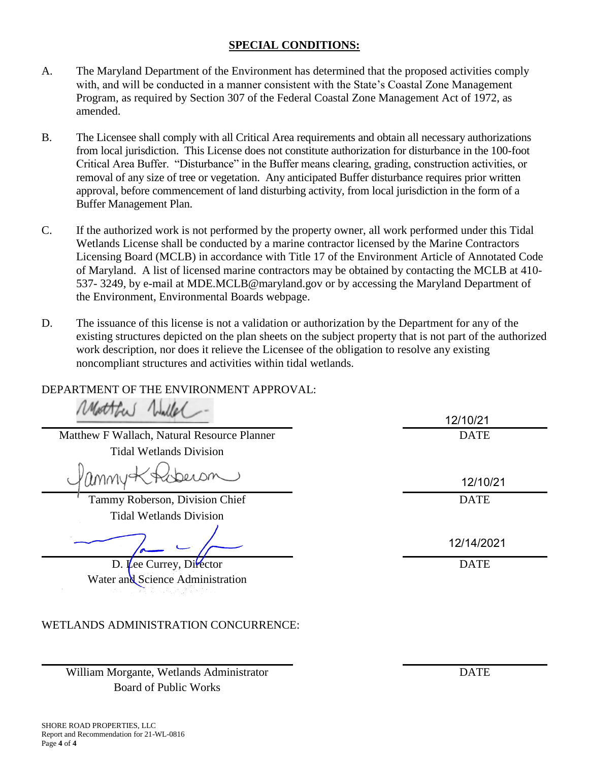# **SPECIAL CONDITIONS:**

- A. The Maryland Department of the Environment has determined that the proposed activities comply with, and will be conducted in a manner consistent with the State's Coastal Zone Management Program, as required by Section 307 of the Federal Coastal Zone Management Act of 1972, as amended.
- B. The Licensee shall comply with all Critical Area requirements and obtain all necessary authorizations from local jurisdiction. This License does not constitute authorization for disturbance in the 100-foot Critical Area Buffer. "Disturbance" in the Buffer means clearing, grading, construction activities, or removal of any size of tree or vegetation. Any anticipated Buffer disturbance requires prior written approval, before commencement of land disturbing activity, from local jurisdiction in the form of a Buffer Management Plan.
- C. If the authorized work is not performed by the property owner, all work performed under this Tidal Wetlands License shall be conducted by a marine contractor licensed by the Marine Contractors Licensing Board (MCLB) in accordance with Title 17 of the Environment Article of Annotated Code of Maryland. A list of licensed marine contractors may be obtained by contacting the MCLB at 410- 537- 3249, by e-mail at MDE.MCLB@maryland.gov or by accessing the Maryland Department of the Environment, Environmental Boards webpage.
- D. The issuance of this license is not a validation or authorization by the Department for any of the existing structures depicted on the plan sheets on the subject property that is not part of the authorized work description, nor does it relieve the Licensee of the obligation to resolve any existing noncompliant structures and activities within tidal wetlands.

# DEPARTMENT OF THE ENVIRONMENT APPROVAL:

Matthew F Wallach, Natural Resource Planner DATE Tidal Wetlands Division

DRA DM MMV

Tammy Roberson, Division Chief DATE Tidal Wetlands Division

D. Lee Currey, Director DATE Water and Science Administration

# WETLANDS ADMINISTRATION CONCURRENCE:

William Morgante, Wetlands Administrator DATE Board of Public Works

12/10/21

12/10/21

12/14/2021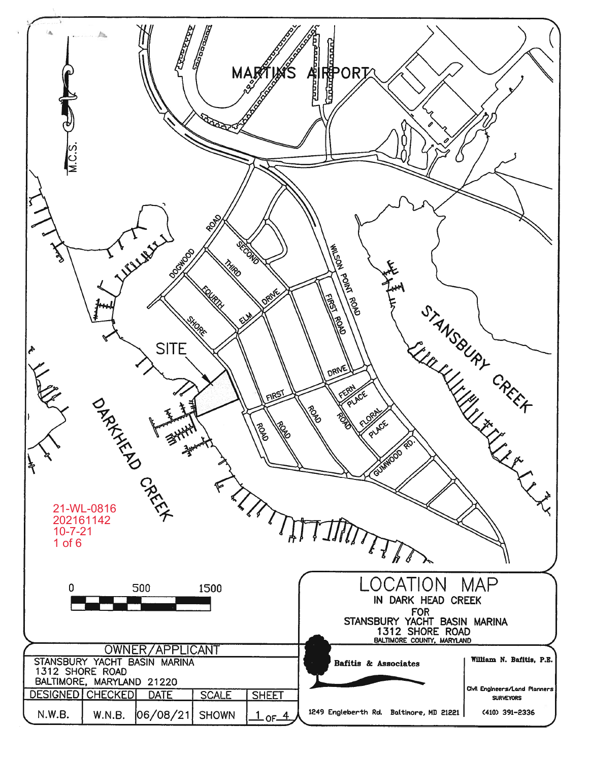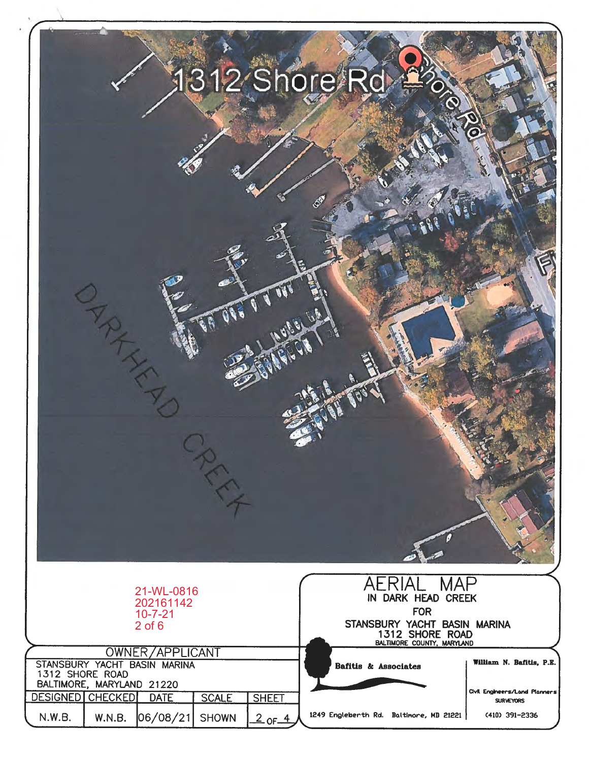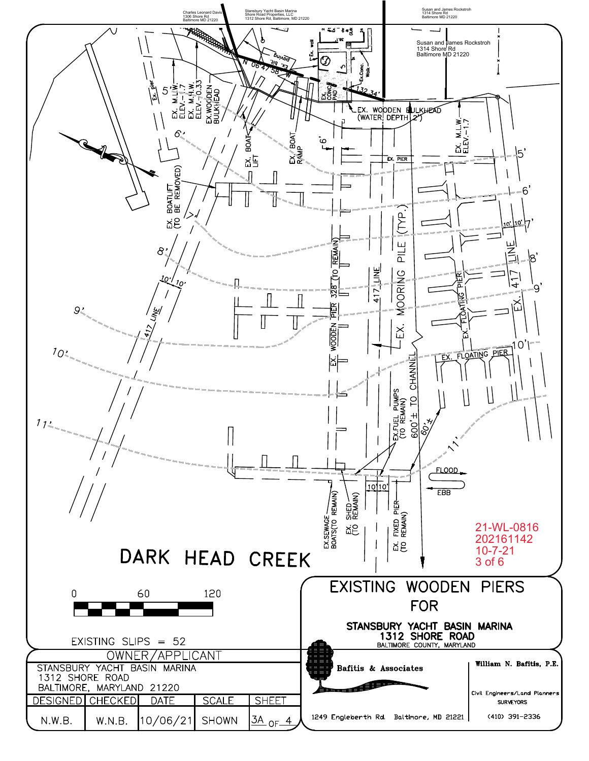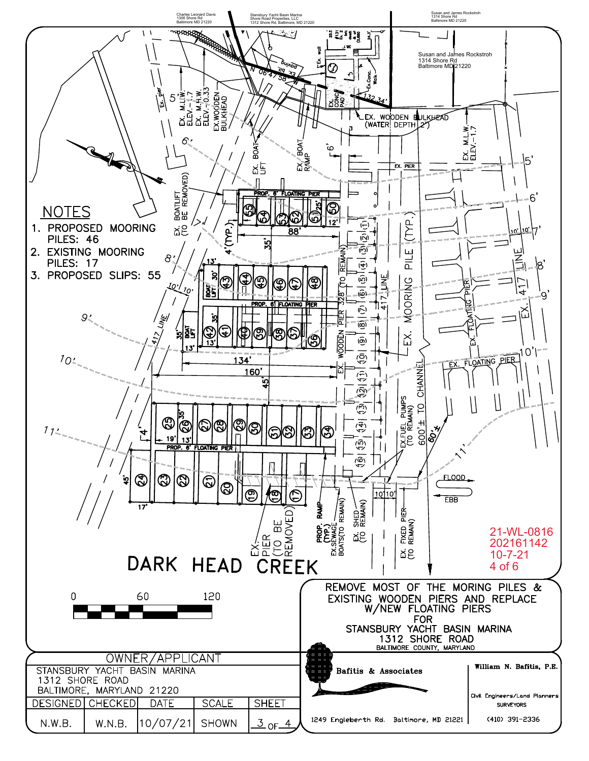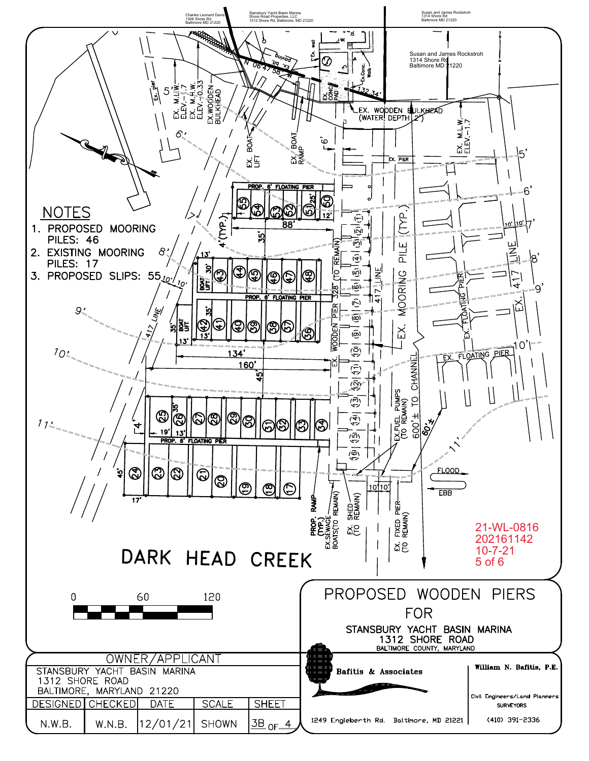